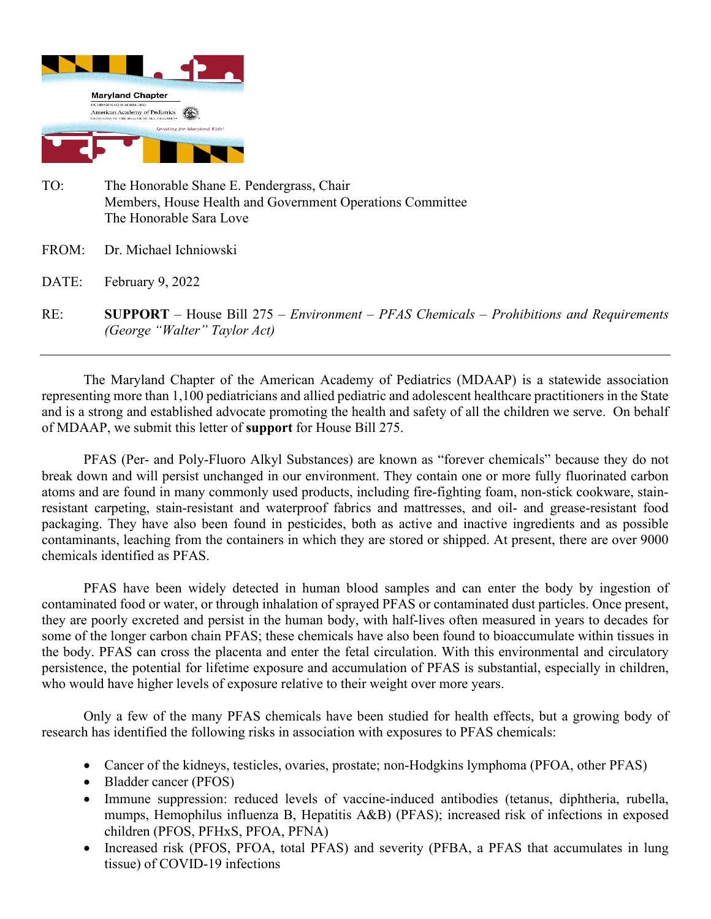

- TO: The Honorable Shane E. Pendergrass, Chair Members, House Health and Government Operations Committee The Honorable Sara Love
- FROM: Dr. Michael Ichniowski
- DATE: February 9, 2022
- RE: **SUPPORT** House Bill 275 *Environment PFAS Chemicals Prohibitions and Requirements (George "Walter" Taylor Act)*

The Maryland Chapter of the American Academy of Pediatrics (MDAAP) is a statewide association representing more than 1,100 pediatricians and allied pediatric and adolescent healthcare practitioners in the State and is a strong and established advocate promoting the health and safety of all the children we serve. On behalf of MDAAP, we submit this letter of **support** for House Bill 275.

PFAS (Per- and Poly-Fluoro Alkyl Substances) are known as "forever chemicals" because they do not break down and will persist unchanged in our environment. They contain one or more fully fluorinated carbon atoms and are found in many commonly used products, including fire-fighting foam, non-stick cookware, stainresistant carpeting, stain-resistant and waterproof fabrics and mattresses, and oil- and grease-resistant food packaging. They have also been found in pesticides, both as active and inactive ingredients and as possible contaminants, leaching from the containers in which they are stored or shipped. At present, there are over 9000 chemicals identified as PFAS.

PFAS have been widely detected in human blood samples and can enter the body by ingestion of contaminated food or water, or through inhalation of sprayed PFAS or contaminated dust particles. Once present, they are poorly excreted and persist in the human body, with half-lives often measured in years to decades for some of the longer carbon chain PFAS; these chemicals have also been found to bioaccumulate within tissues in the body. PFAS can cross the placenta and enter the fetal circulation. With this environmental and circulatory persistence, the potential for lifetime exposure and accumulation of PFAS is substantial, especially in children, who would have higher levels of exposure relative to their weight over more years.

Only a few of the many PFAS chemicals have been studied for health effects, but a growing body of research has identified the following risks in association with exposures to PFAS chemicals:

- Cancer of the kidneys, testicles, ovaries, prostate; non-Hodgkins lymphoma (PFOA, other PFAS)
- Bladder cancer (PFOS)
- Immune suppression: reduced levels of vaccine-induced antibodies (tetanus, diphtheria, rubella, mumps, Hemophilus influenza B, Hepatitis A&B) (PFAS); increased risk of infections in exposed children (PFOS, PFHxS, PFOA, PFNA)
- Increased risk (PFOS, PFOA, total PFAS) and severity (PFBA, a PFAS that accumulates in lung tissue) of COVID-19 infections